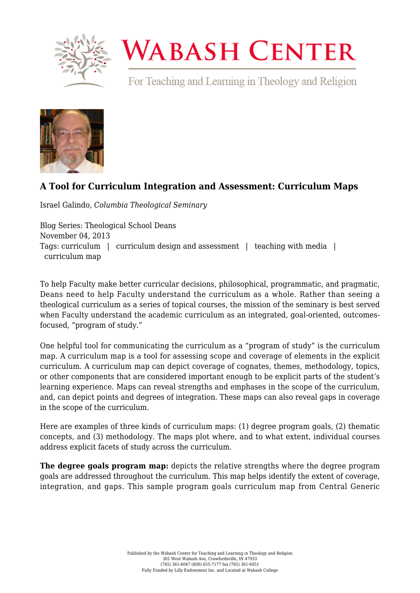

## **WABASH CENTER**

For Teaching and Learning in Theology and Religion



## **[A Tool for Curriculum Integration and Assessment: Curriculum Maps](https://www.wabashcenter.wabash.edu/2013/11/a-tool-for-curriculum-integration-and-assessment-curriculum-maps/)**

Israel Galindo, *Columbia Theological Seminary*

Blog Series: Theological School Deans November 04, 2013 Tags: curriculum | curriculum design and assessment | teaching with media | curriculum map

To help Faculty make better curricular decisions, philosophical, programmatic, and pragmatic, Deans need to help Faculty understand the curriculum as a whole. Rather than seeing a theological curriculum as a series of topical courses, the mission of the seminary is best served when Faculty understand the academic curriculum as an integrated, goal-oriented, outcomesfocused, "program of study."

One helpful tool for communicating the curriculum as a "program of study" is the curriculum map. A curriculum map is a tool for assessing scope and coverage of elements in the explicit curriculum. A curriculum map can depict coverage of cognates, themes, methodology, topics, or other components that are considered important enough to be explicit parts of the student's learning experience. Maps can reveal strengths and emphases in the scope of the curriculum, and, can depict points and degrees of integration. These maps can also reveal gaps in coverage in the scope of the curriculum.

Here are examples of three kinds of curriculum maps: (1) degree program goals, (2) thematic concepts, and (3) methodology. The maps plot where, and to what extent, individual courses address explicit facets of study across the curriculum.

**The degree goals program map:** depicts the relative strengths where the degree program goals are addressed throughout the curriculum. This map helps identify the extent of coverage, integration, and gaps. This sample program goals curriculum map from Central Generic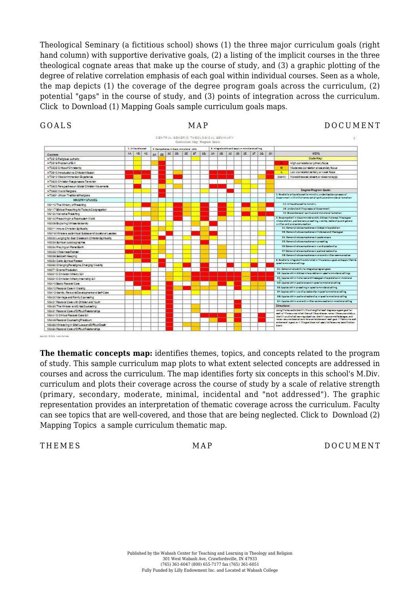Theological Seminary (a fictitious school) shows (1) the three major curriculum goals (right hand column) with supportive derivative goals, (2) a listing of the implicit courses in the three theological cognate areas that make up the course of study, and (3) a graphic plotting of the degree of relative correlation emphasis of each goal within individual courses. Seen as a whole, the map depicts (1) the coverage of the degree program goals across the curriculum, (2) potential "gaps" in the course of study, and (3) points of integration across the curriculum. Click to [Download \(1\) Mapping Goals s](https://www.wabashcenter.wabash.edu/wp-content/uploads/2017/06/1-mapping-goals-ig.pdf)ample curriculum goals maps.



**CALL BOOK SHOP** 

**The thematic concepts map:** identifies themes, topics, and concepts related to the program of study. This sample curriculum map plots to what extent selected concepts are addressed in courses and across the curriculum. The map identifies forty six concepts in this school's M.Div. curriculum and plots their coverage across the course of study by a scale of relative strength (primary, secondary, moderate, minimal, incidental and "not addressed"). The graphic representation provides an interpretation of thematic coverage across the curriculum. Faculty can see topics that are well-covered, and those that are being neglected. Click to [Download \(2\)](https://www.wabashcenter.wabash.edu/wp-content/uploads/2017/06/2-mapping-topics-ig.pdf) [Mapping Topics](https://www.wabashcenter.wabash.edu/wp-content/uploads/2017/06/2-mapping-topics-ig.pdf) a sample curriculum thematic map.

THEMES MAP DOCUMENT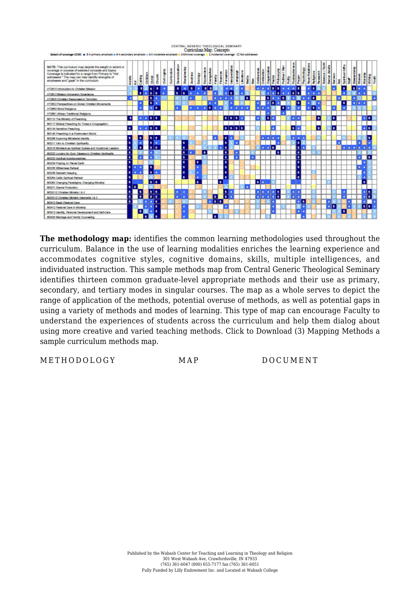

**The methodology map:** identifies the common learning methodologies used throughout the curriculum. Balance in the use of learning modalities enriches the learning experience and accommodates cognitive styles, cognitive domains, skills, multiple intelligences, and individuated instruction. This sample methods map from Central Generic Theological Seminary identifies thirteen common graduate-level appropriate methods and their use as primary, secondary, and tertiary modes in singular courses. The map as a whole serves to depict the range of application of the methods, potential overuse of methods, as well as potential gaps in using a variety of methods and modes of learning. This type of map can encourage Faculty to understand the experiences of students across the curriculum and help them dialog about using more creative and varied teaching methods. Click to [Download \(3\) Mapping Methods a](https://www.wabashcenter.wabash.edu/wp-content/uploads/2017/06/3-mapping-methods-ig.pdf) sample curriculum methods map.

METHODOLOGY MAP DOCUMENT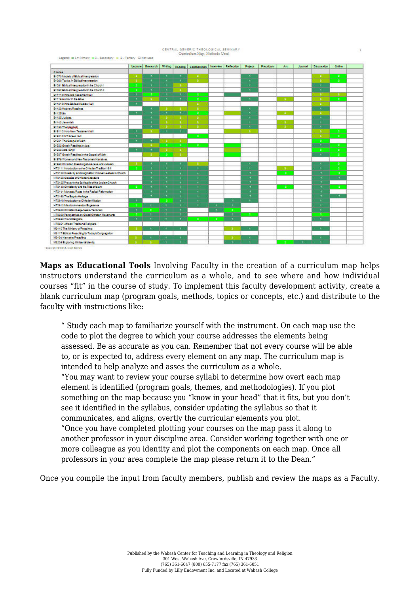

, Lagand: as 1 = Primary = 2 - Secondary = 2 - Tertlery  $\Box$  Not used

|                                                       | Lecture | Research     | <b>Writing</b> |            | Reading Colaboration |     | Interview Reflection | Project | Practicum. | Art      | Journal | Discussion   | <b>Online</b>        |  |
|-------------------------------------------------------|---------|--------------|----------------|------------|----------------------|-----|----------------------|---------|------------|----------|---------|--------------|----------------------|--|
| Course                                                |         |              |                |            |                      |     |                      |         |            |          |         |              |                      |  |
| D10T0 Models of Molcal Insurpresident                 | -       | ×            | $\rightarrow$  |            | <b>ST</b>            |     |                      | ×       |            |          |         | ×            | ÷                    |  |
| <b>B1090 Topics in Biblica Interperation</b>          | - 1     |              | ÷              | $\ddot{}$  | -11                  |     |                      |         |            |          |         | -            | ie.                  |  |
| Encer Biblical Insuranzadonin the Church I.           | ×.      | ÷            | ч.             |            |                      |     |                      | ×       |            |          |         | ٠            |                      |  |
| O1092 Biblical Interpretationin the Church E.         | 12      | ◆            | ٠              |            |                      |     |                      | ×       |            |          |         | ×            |                      |  |
| <b>D11112 Intro Old Teachment &amp; E</b>             | ч       | ٠            |                | τ          | ÷                    |     |                      |         |            |          |         | -11          | -11                  |  |
| Editibilizator in the Elbie                           | ÷,      | 1977         |                |            | -21                  |     |                      |         |            | л.       |         | ×            | <b>A</b>             |  |
| <b>D1121/2 Inno Diblical Hebrew (AR)</b>              | ×       |              |                |            | ÷.                   |     |                      |         |            |          |         | ×            |                      |  |
| D1122 HabrewReadings                                  |         | $+1$         | ×              |            | ×.                   |     |                      | ٠       |            |          |         | $\cdot$      |                      |  |
| D1125.9h                                              | ×.      |              | ۰              |            | ÷                    |     |                      |         |            | -11      |         | -11          |                      |  |
| <b>DI1SE Judges</b>                                   |         |              | -2             | -11        | 48                   |     |                      |         |            |          |         | ٠            |                      |  |
| <b>Driver Januarian</b>                               |         | ×            | ÷              | -11        | ×                    |     |                      | ×       |            | ٠        |         | ×            |                      |  |
| D1159 The Unplice.                                    |         | Ŧ            | - 1            | - 11       | ×                    |     |                      |         |            | ъ.       |         | ×            |                      |  |
| <b>DISTIC Inno New Teamworth E</b>                    | -4      | a.           | н.             |            |                      |     |                      | ×       |            |          |         | ÷            | 12                   |  |
| <b>DISSISNT Greek (A)</b>                             | ₹ŧ.     |              |                |            | ÷.                   |     |                      |         |            |          |         | ◆            | -21                  |  |
| 91591 The Gospel of John                              | ×       | ¥            | ×              | ×,         |                      |     |                      |         |            |          |         | ÷            |                      |  |
| Er 552 Greek Flaschroch Acts.                         |         |              | 12             | -21        | ÷                    |     |                      |         |            |          |         | Ŧ            | ×                    |  |
| EHESS (scalifica)                                     | ۰.      | Ŧ            | -11            | - 11       |                      |     |                      |         |            |          |         | ×            | ÷.                   |  |
| 91597 Greek Readings in the Goape of Mark             |         |              | -91            | -11        |                      |     |                      |         |            |          |         | $\leftarrow$ | a.                   |  |
| Dr.S79 Women and New Teammer Naratves                 |         |              |                |            |                      |     |                      |         |            |          |         |              |                      |  |
| ShSSO Christian Preschingabout Jens and Judalem       | 18      |              |                |            |                      |     |                      | ×       |            |          |         |              | -2                   |  |
| HTS111 Introduction to the Chitecter Tradition (AI)   | -21     | ٠            | ÷.             | $\pm$      | o                    |     |                      | ÷.      |            | ٠        |         | ٠            | 12                   |  |
| HT2120 Creatile and maginator: Women Leades In Chuch  |         |              |                |            | ÷                    |     |                      |         |            | ÷        |         |              | -2                   |  |
| H12125 Classics of Chitestan Literature               |         |              | 1              | ٠          | ×.                   |     |                      |         |            |          |         |              | $\ddot{\phantom{1}}$ |  |
| HT2125 Prayerin the Spirituality of the öncler Chusch |         |              |                |            |                      |     |                      | -       |            |          |         |              |                      |  |
| HT2140 Christenic/arcitie Rise of slam-               | -2      | $\cdot$      | ч.             |            |                      |     |                      |         |            | $\Delta$ |         | $\cdot$      | 2.                   |  |
| HT2141 Monagic Rogs In the Radical Reformation        |         | ×            | ٠              |            | ×                    |     |                      |         |            |          |         | ×            |                      |  |
| HT2190 The BanderHeitage                              |         |              |                | ٠          | $\sim$               |     |                      |         |            |          |         |              | ÷                    |  |
| HT2910 Introduction to ChristianMagion                | ٠       |              | ÷              | <b>AT</b>  |                      |     |                      |         |            |          |         | ٠            |                      |  |
| FIT2912 Missionimmersion Experience                   | -2      | ◆            | $\mathcal{F}$  | $\cdot$    | $+$                  | ◆   | ۰.                   |         |            |          |         |              |                      |  |
| HT2620 Christian Rashonaego Tenorism                  | 3       | $\mathbf{R}$ | п÷,            | 1          |                      | ÷.  | -21                  |         |            |          |         |              |                      |  |
| HT2622 Perspective on Global Christian Movement.      | ÷       |              |                |            |                      |     | w                    | -21     |            |          |         | ٠            |                      |  |
| HT2650 World Religions                                | к÷.     | $+1$         | ist.           | <b>ALC</b> | -47                  | -21 | ÷                    |         |            |          |         | ٠            |                      |  |
| HT2651 öffican Traditional Religions                  |         |              |                |            |                      |     |                      |         |            |          |         |              |                      |  |
| MS110 The Minkey of Presching                         | ٠       | ÷L.          | ÷              | Đ          |                      |     |                      | ۰       |            |          |         |              |                      |  |
| MS117 Biblical Preaching for Today's Congregation     |         |              |                |            |                      |     |                      |         |            |          |         |              |                      |  |
| MSHSK Narradus Preaching                              | -1      | ٠            | ×              |            |                      |     |                      |         |            |          |         |              |                      |  |
| MS206 Exploring Minimurial Identity                   | ×       |              |                |            |                      |     |                      |         |            |          |         |              |                      |  |

**Maps as Educational Tools** Involving Faculty in the creation of a curriculum map helps instructors understand the curriculum as a whole, and to see where and how individual courses "fit" in the course of study. To implement this faculty development activity, create a blank curriculum map (program goals, methods, topics or concepts, etc.) and distribute to the faculty with instructions like:

" Study each map to familiarize yourself with the instrument. On each map use the code to plot the degree to which your course addresses the elements being assessed. Be as accurate as you can. Remember that not every course will be able to, or is expected to, address every element on any map. The curriculum map is intended to help analyze and asses the curriculum as a whole. "You may want to review your course syllabi to determine how overt each map element is identified (program goals, themes, and methodologies). If you plot something on the map because you "know in your head" that it fits, but you don't see it identified in the syllabus, consider updating the syllabus so that it communicates, and aligns, overtly the curricular elements you plot. "Once you have completed plotting your courses on the map pass it along to another professor in your discipline area. Consider working together with one or more colleague as you identity and plot the components on each map. Once all professors in your area complete the map please return it to the Dean."

Once you compile the input from faculty members, publish and review the maps as a Faculty.